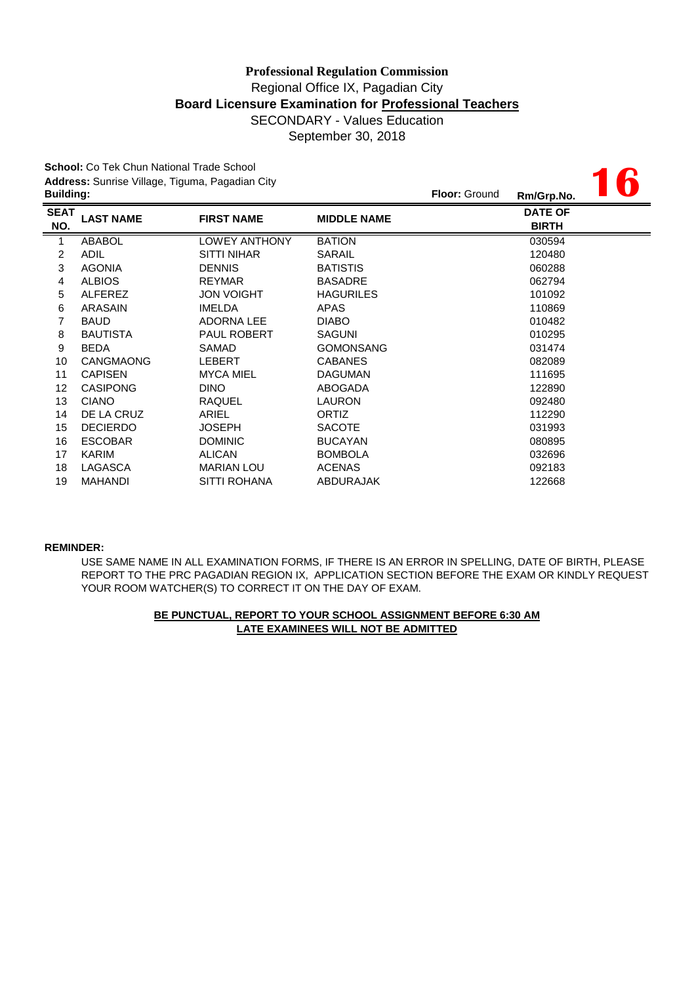# Regional Office IX, Pagadian City **Professional Regulation Commission Board Licensure Examination for Professional Teachers** SECONDARY - Values Education

September 30, 2018

**16**

**School:** Co Tek Chun National Trade School **Address:** Sunrise Village, Tiguma, Pagadian City **Building: Floor:** Ground **Rm/Grp.No.**

|                    |                  |                      |                    | <b>.</b>                       |
|--------------------|------------------|----------------------|--------------------|--------------------------------|
| <b>SEAT</b><br>NO. | <b>LAST NAME</b> | <b>FIRST NAME</b>    | <b>MIDDLE NAME</b> | <b>DATE OF</b><br><b>BIRTH</b> |
| 1                  | <b>ABABOL</b>    | <b>LOWEY ANTHONY</b> | <b>BATION</b>      | 030594                         |
| 2                  | <b>ADIL</b>      | <b>SITTI NIHAR</b>   | <b>SARAIL</b>      | 120480                         |
| 3                  | <b>AGONIA</b>    | <b>DENNIS</b>        | <b>BATISTIS</b>    | 060288                         |
| 4                  | <b>ALBIOS</b>    | <b>REYMAR</b>        | <b>BASADRE</b>     | 062794                         |
| 5                  | <b>ALFEREZ</b>   | <b>JON VOIGHT</b>    | <b>HAGURILES</b>   | 101092                         |
| 6                  | ARASAIN          | <b>IMELDA</b>        | APAS               | 110869                         |
| 7                  | <b>BAUD</b>      | ADORNA LEE           | <b>DIABO</b>       | 010482                         |
| 8                  | <b>BAUTISTA</b>  | <b>PAUL ROBERT</b>   | <b>SAGUNI</b>      | 010295                         |
| 9                  | <b>BEDA</b>      | SAMAD                | <b>GOMONSANG</b>   | 031474                         |
| 10                 | <b>CANGMAONG</b> | <b>LEBERT</b>        | <b>CABANES</b>     | 082089                         |
| 11                 | <b>CAPISEN</b>   | <b>MYCA MIEL</b>     | <b>DAGUMAN</b>     | 111695                         |
| 12                 | <b>CASIPONG</b>  | <b>DINO</b>          | ABOGADA            | 122890                         |
| 13                 | <b>CIANO</b>     | RAQUEL               | LAURON             | 092480                         |
| 14                 | DE LA CRUZ       | ARIEL                | <b>ORTIZ</b>       | 112290                         |
| 15                 | <b>DECIERDO</b>  | <b>JOSEPH</b>        | <b>SACOTE</b>      | 031993                         |
| 16                 | <b>ESCOBAR</b>   | <b>DOMINIC</b>       | <b>BUCAYAN</b>     | 080895                         |
| 17                 | KARIM            | <b>ALICAN</b>        | <b>BOMBOLA</b>     | 032696                         |
| 18                 | LAGASCA          | <b>MARIAN LOU</b>    | <b>ACENAS</b>      | 092183                         |
| 19                 | <b>MAHANDI</b>   | SITTI ROHANA         | <b>ABDURAJAK</b>   | 122668                         |

#### **REMINDER:**

USE SAME NAME IN ALL EXAMINATION FORMS, IF THERE IS AN ERROR IN SPELLING, DATE OF BIRTH, PLEASE REPORT TO THE PRC PAGADIAN REGION IX, APPLICATION SECTION BEFORE THE EXAM OR KINDLY REQUEST YOUR ROOM WATCHER(S) TO CORRECT IT ON THE DAY OF EXAM.

### **BE PUNCTUAL, REPORT TO YOUR SCHOOL ASSIGNMENT BEFORE 6:30 AM LATE EXAMINEES WILL NOT BE ADMITTED**